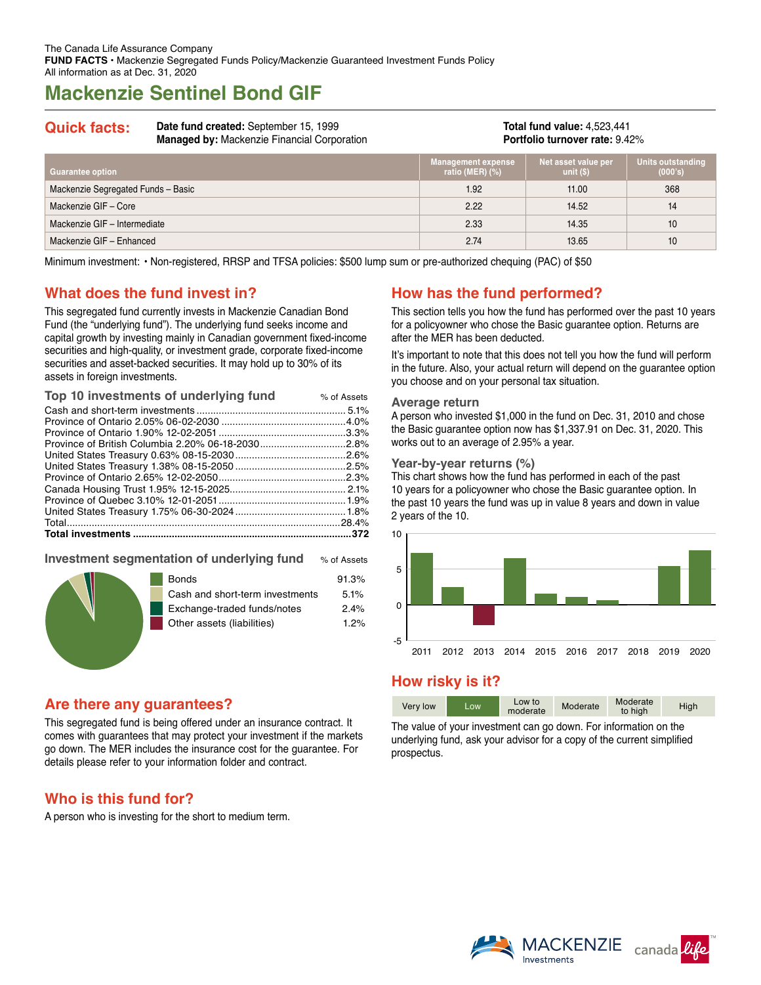# **Mackenzie Sentinel Bond GIF**

## **Quick facts: Date fund created:** September 15, 1999

**Managed by:** Mackenzie Financial Corporation

**Total fund value:** 4,523,441 **Portfolio turnover rate:** 9.42%

| <b>Guarantee option</b>            | <b>Management expense</b><br>ratio (MER) $(\%)$ | Net asset value per<br>unit $(S)$ | Units outstanding<br>(000's) |
|------------------------------------|-------------------------------------------------|-----------------------------------|------------------------------|
| Mackenzie Segregated Funds - Basic | 1.92                                            | 11.00                             | 368                          |
| Mackenzie GIF - Core               | 2.22                                            | 14.52                             | 14                           |
| Mackenzie GIF - Intermediate       | 2.33                                            | 14.35                             | 10                           |
| Mackenzie GIF - Enhanced           | 2.74                                            | 13.65                             | 10                           |

Minimum investment: • Non-registered, RRSP and TFSA policies: \$500 lump sum or pre-authorized chequing (PAC) of \$50

## **What does the fund invest in?**

This segregated fund currently invests in Mackenzie Canadian Bond Fund (the "underlying fund"). The underlying fund seeks income and capital growth by investing mainly in Canadian government fixed-income securities and high-quality, or investment grade, corporate fixed-income securities and asset-backed securities. It may hold up to 30% of its assets in foreign investments.

| Top 10 investments of underlying fund | % of Assets |
|---------------------------------------|-------------|
|                                       |             |
|                                       |             |
|                                       |             |
|                                       |             |
|                                       |             |
|                                       |             |
|                                       |             |
|                                       |             |
|                                       |             |
|                                       |             |
|                                       |             |
|                                       |             |
|                                       |             |

#### **Investment segmentation of underlying fund** % of Assets

|  | <b>Bonds</b><br>Cash and short-term investments | 91.3%<br>5.1% |
|--|-------------------------------------------------|---------------|
|  | Exchange-traded funds/notes                     | 2.4%          |
|  | Other assets (liabilities)                      | 1.2%          |
|  |                                                 |               |

### **Are there any guarantees?**

This segregated fund is being offered under an insurance contract. It comes with guarantees that may protect your investment if the markets go down. The MER includes the insurance cost for the guarantee. For details please refer to your information folder and contract.

## **Who is this fund for?**

A person who is investing for the short to medium term.

## **How has the fund performed?**

This section tells you how the fund has performed over the past 10 years for a policyowner who chose the Basic guarantee option. Returns are after the MER has been deducted.

It's important to note that this does not tell you how the fund will perform in the future. Also, your actual return will depend on the guarantee option you choose and on your personal tax situation.

#### **Average return**

A person who invested \$1,000 in the fund on Dec. 31, 2010 and chose the Basic guarantee option now has \$1,337.91 on Dec. 31, 2020. This works out to an average of 2.95% a year.

#### **Year-by-year returns (%)**

This chart shows how the fund has performed in each of the past 10 years for a policyowner who chose the Basic guarantee option. In the past 10 years the fund was up in value 8 years and down in value 2 years of the 10.



## **How risky is it?**

| Very low | Low. | Low to<br>moderate | Moderate | Moderate<br>to high | High |
|----------|------|--------------------|----------|---------------------|------|

The value of your investment can go down. For information on the underlying fund, ask your advisor for a copy of the current simplified prospectus.